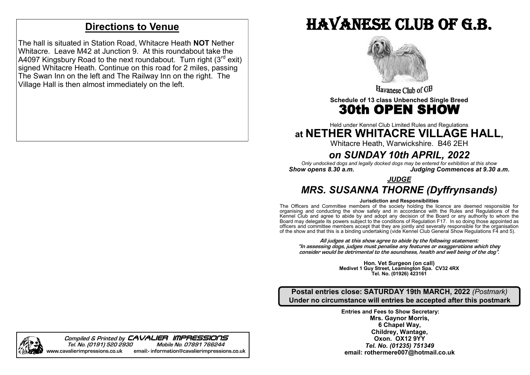## **Directions to Venue**

The hall is situated in Station Road, Whitacre Heath **NOT** Nether Whitacre. Leave M42 at Junction 9. At this roundabout take the A4097 Kingsbury Road to the next roundabout. Turn right  $(3^{rd} \text{ exit})$ signed Whitacre Heath. Continue on this road for 2 miles, passing The Swan Inn on the left and The Railway Inn on the right. The Village Hall is then almost immediately on the left.

# Havanese club of g.b.



Havanese Club of GB

**Schedule of 13 class Unbenched Single Breed**

## 30th OPEN SHOW Ţ

Held under Kennel Club Limited Rules and Regulations

## **at NETHER WHITACRE VILLAGE HALL,**

Whitacre Heath, Warwickshire. B46 2EH

## *on SUNDAY 10th APRIL, 2022*

*Only undocked dogs and legally docked dogs may be entered for exhibition at this show Show opens 8.30 a.m. Judging Commences at 9.30 a.m.*

*JUDGE*

## *MRS. SUSANNA THORNE (Dyffrynsands)*

#### **Jurisdiction and Responsibilities**

The Officers and Committee members of the society holding the licence are deemed responsible for organising and conducting the show safely and in accordance with the Rules and Regulations of the Kennel Club and agree to abide by and adopt any decision of the Board or any authority to whom the Board may delegate its powers subject to the conditions of Regulation F17. In so doing those appointed as officers and committee members accept that they are jointly and severally responsible for the organisation of the show and that this is a binding undertaking (vide Kennel Club General Show Regulations F4 and 5).

**All judges at this show agree to abide by the following statement: "In assessing dogs, judges must penalise any features or exaggerations which they consider would be detrimental to the soundness, health and well being of the dog".**

> **Hon. Vet Surgeon (on call) Medivet 1 Guy Street, Leamington Spa. CV32 4RX Tel. No. (01926) 423161**

**Postal entries close: SATURDAY 19th MARCH, 2022** *(Postmark)* **Under no circumstance will entries be accepted after this postmark**

> **Entries and Fees to Show Secretary: Mrs. Gaynor Morris, 6 Chapel Way, Childrey, Wantage, Oxon. OX12 9YY** *Tel. No. (01235) 751349* **email: rothermere007@hotmail.co.uk**

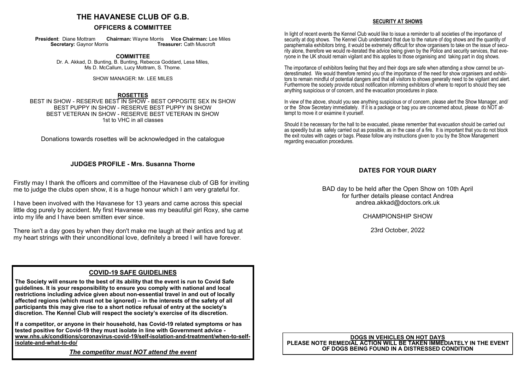## **THE HAVANESE CLUB OF G.B.**

#### **OFFICERS & COMMITTEE**

**President: Diane Mottram Chairman: Wayne Morris Vice Chairman: Lee Miles Secretary: Gaynor Morris Treasurer: Cath Muscroft Secretary: Gaynor Morris** 

> **COMMITTEE** Dr. A. Akkad, D. Bunting, B. Bunting, Rebecca Goddard, Lesa Miles, Ms D. McCallum, Lucy Mottram, S. Thorne.

> > SHOW MANAGER: Mr. LEE MILES

#### **ROSETTES**

BEST IN SHOW - RESERVE BEST IN SHOW - BEST OPPOSITE SEX IN SHOW BEST PUPPY IN SHOW - RESERVE BEST PUPPY IN SHOW BEST VETERAN IN SHOW - RESERVE BEST VETERAN IN SHOW 1st to VHC in all classes

Donations towards rosettes will be acknowledged in the catalogue

#### **JUDGES PROFILE - Mrs. Susanna Thorne**

Firstly may I thank the officers and committee of the Havanese club of GB for inviting me to judge the clubs open show, it is a huge honour which I am very grateful for.

I have been involved with the Havanese for 13 years and came across this special little dog purely by accident. My first Havanese was my beautiful girl Roxy, she came into my life and I have been smitten ever since.

There isn't a day goes by when they don't make me laugh at their antics and tug at my heart strings with their unconditional love, definitely a breed I will have forever.

#### **COVID-19 SAFE GUIDELINES**

**The Society will ensure to the best of its ability that the event is run to Covid Safe guidelines. It is your responsibility to ensure you comply with national and local restrictions including advice given about non-essential travel in and out of locally affected regions (which must not be ignored) – in the interests of the safety of all participants this may give rise to a short notice refusal of entry at the society's discretion. The Kennel Club will respect the society's exercise of its discretion.**

**If a competitor, or anyone in their household, has Covid-19 related symptoms or has tested positive for Covid-19 they must isolate in line with Government advice [www.nhs.uk/conditions/coronavirus](http://www.nhs.uk/conditions/coronavirus-covid-19/self-isolation-and-treatment/when-to-self-isolate-and-what-to-do/)-covid-19/self-isolation-and-treatment/when-to-self[isolate](http://www.nhs.uk/conditions/coronavirus-covid-19/self-isolation-and-treatment/when-to-self-isolate-and-what-to-do/)-and-what-to-do/**

*The competitor must NOT attend the event*

#### **SECURITY AT SHOWS**

In light of recent events the Kennel Club would like to issue a reminder to all societies of the importance of security at dog shows. The Kennel Club understand that due to the nature of dog shows and the quantity of paraphernalia exhibitors bring, it would be extremely difficult for show organisers to take on the issue of security alone, therefore we would re-iterated the advice being given by the Police and security services, that everyone in the UK should remain vigilant and this applies to those organising and taking part in dog shows.

The importance of exhibitors feeling that they and their dogs are safe when attending a show cannot be underestimated. We would therefore remind you of the importance of the need for show organisers and exhibitors to remain mindful of potential dangers and that all visitors to shows generally need to be vigilant and alert. Furthermore the society provide robust notification informing exhibitors of where to report to should they see anything suspicious or of concern, and the evacuation procedures in place.

In view of the above, should you see anything suspicious or of concern, please alert the Show Manager, and/ or the Show Secretary immediately. If it is a package or bag you are concerned about, please do NOT attempt to move it or examine it yourself.

Should it be necessary for the hall to be evacuated, please remember that evacuation should be carried out as speedily but as safely carried out as possible, as in the case of a fire. It is important that you do not block the exit routes with cages or bags. Please follow any instructions given to you by the Show Management regarding evacuation procedures.

#### **DATES FOR YOUR DIARY**

BAD day to be held after the Open Show on 10th April for further details please contact Andrea andrea.akkad@doctors.ork.uk

CHAMPIONSHIP SHOW

23rd October, 2022

#### **DOGS IN VEHICLES ON HOT DAYS PLEASE NOTE REMEDIAL ACTION WILL BE TAKEN IMMEDIATELY IN THE EVENT OF DOGS BEING FOUND IN A DISTRESSED CONDITION**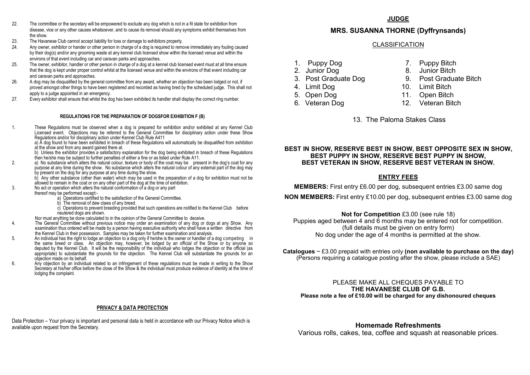- 22. The committee or the secretary will be empowered to exclude any dog which is not in a fit state for exhibition from disease, vice or any other causes whatsoever, and to cause its removal should any symptoms exhibit themselves from the show.
- 23. The Havanese Club cannot accept liability for loss or damage to exhibitors property.<br>24 Any owner, exhibitor or hander or other person in charge of a dog is required to remo
- 24. Any owner, exhibitor or hander or other person in charge of a dog is required to remove immediately any fouling caused by their dog(s) and/or any grooming waste at any kennel club licensed show within the licensed venue and within the environs of that event including car and caravan parks and approaches.
- 25. The owner, exhibitor, handler or other person in charge of a dog at a kennel club licensed event must at all time ensure that the dog is kept under proper control whilst at the licensed venue and within the environs of that event including car and caravan parks and approaches.
- 26. A dog may be disqualified by the general committee from any award, whether an objection has been lodged or not, if proved amongst other things to have been registered and recorded as having bred by the scheduled judge. This shall not apply to a judge appointed in an emergency.
- 27. Every exhibitor shall ensure that whilst the dog has been exhibited its handler shall display the correct ring number.

#### **REGULATIONS FOR THE PREPARATION OF DOGSFOR EXHIBITION F (B)**

1. These Regulations must be observed when a dog is prepared for exhibition and/or exhibited at any Kennel Club Licensed event. Objections may be referred to the General Committee for disciplinary action under these Show Regulations and/or for disciplinary action under Kennel Club Rule A411 a) A dog found to have been exhibited in breach of these Regulations will automatically be disqualified from exhibition at the show and from any award gained there at.

b) Unless the exhibitor provides a satisfactory explanation for the dog being exhibited in breach of these Regulations then he/she may be subject to further penalties of either a fine or as listed under Rule A11.

- 2. a) No substance which alters the natural colour, texture or body of the coat may be present in the dog's coat for any purpose at any time during the show. No substance which alters the natural colour of any external part of the dog may by present on the dog for any purpose at any time during the show.
	- b) Any other substance (other than water) which may be used in the preparation of a dog for exhibition must not be allowed to remain in the coat or on any other part of the dog at the time of exhibition.
- 3. No act or operation which alters the natural conformation of a dog or any part
	- thereof may be performed except:
		- a) Operations certified to the satisfaction of the General Committee.
		- b) The removal of dew claws of any breed.
		- c) Operations to prevent breeding provided that such operations are notified to the Kennel Club before neutered dogs are shown.
	- Nor must anything be done calculated to in the opinion of the General Committee to deceive.
- 4. The General Committee without previous notice may order an examination of any dog or dogs at any Show. Any examination thus ordered will be made by a person having executive authority who shall have a written directive from the Kennel Club in their possession. Samples may be taken for further examination and analysis.
- 5. An individual has the right to lodge an objection to a dog only if he/she is the owner or handler of a dog competing in the same breed or class. An objection may, however, be lodged by an official of the Show or by anyone so deputed by the Kennel Club. It will be the responsibility of the individual who lodges the objection or the official (as appropriate) to substantiate the grounds for the objection. The Kennel Club will substantiate the grounds for an objection made on its behalf.
- 6. Any objection by an individual related to an infringement of these regulations must be made in writing to the Show Secretary at his/her office before the close of the Show & the individual must produce evidence of identity at the time of lodging the complaint.

#### **PRIVACY & DATA PROTECTION**

Data Protection – Your privacy is important and personal data is held in accordance with our Privacy Notice which is available upon request from the Secretary.

### **JUDGE**

## **MRS. SUSANNA THORNE (Dyffrynsands)**

### CLASSIFICATION

- 
- 
- 
- 
- 
- 
- 1. Puppy Dog 7. Puppy Bitch
- 2. Junior Dog 8. Junior Bitch
- 3. Post Graduate Dog 9. Post Graduate Bitch
- 4. Limit Dog 10. Limit Bitch
- 5. Open Dog 11. Open Bitch
- 6. Veteran Dog 12. Veteran Bitch
	- 13. The Paloma Stakes Class

#### **BEST IN SHOW, RESERVE BEST IN SHOW, BEST OPPOSITE SEX IN SHOW, BEST PUPPY IN SHOW, RESERVE BEST PUPPY IN SHOW, BEST VETERAN IN SHOW, RESERVE BEST VETERAN IN SHOW.**

### **ENTRY FEES**

**MEMBERS:** First entry £6.00 per dog, subsequent entries £3.00 same dog

**NON MEMBERS:** First entry £10.00 per dog, subsequent entries £3.00 same dog

## **Not for Competition** £3.00 (see rule 18)

Puppies aged between 4 and 6 months may be entered not for competition. (full details must be given on entry form) No dog under the age of 4 months is permitted at the show.

**Catalogues** ~ £3.00 prepaid with entries only **(non available to purchase on the day)**  (Persons requiring a catalogue posting after the show, please include a SAE)

#### PLEASE MAKE ALL CHEQUES PAYABLE TO **THE HAVANESE CLUB OF G.B. Please note a fee of £10.00 will be charged for any dishonoured cheques**

**Homemade Refreshments**  Various rolls, cakes, tea, coffee and squash at reasonable prices.